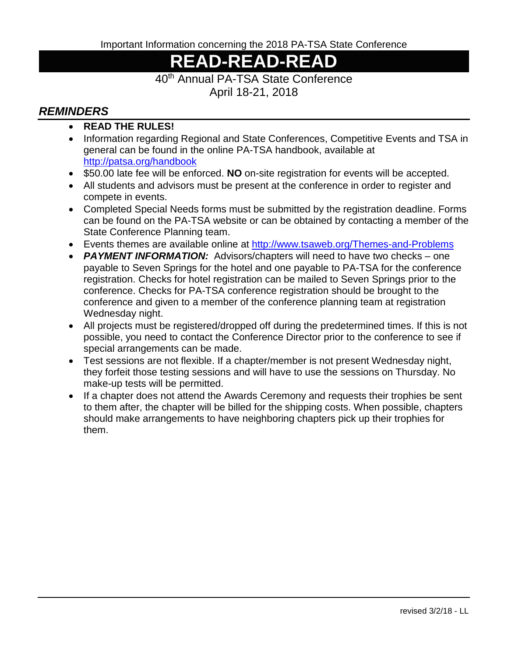Important Information concerning the 2018 PA-TSA State Conference

## **READ-READ-READ**

## 40th Annual PA-TSA State Conference

April 18-21, 2018

## *REMINDERS*

- **READ THE RULES!**
- Information regarding Regional and State Conferences, Competitive Events and TSA in general can be found in the online PA-TSA handbook, available at <http://patsa.org/handbook>
- \$50.00 late fee will be enforced. **NO** on-site registration for events will be accepted.
- All students and advisors must be present at the conference in order to register and compete in events.
- Completed Special Needs forms must be submitted by the registration deadline. Forms can be found on the PA-TSA website or can be obtained by contacting a member of the State Conference Planning team.
- Events themes are available online at<http://www.tsaweb.org/Themes-and-Problems>
- *PAYMENT INFORMATION:* Advisors/chapters will need to have two checks one payable to Seven Springs for the hotel and one payable to PA-TSA for the conference registration. Checks for hotel registration can be mailed to Seven Springs prior to the conference. Checks for PA-TSA conference registration should be brought to the conference and given to a member of the conference planning team at registration Wednesday night.
- All projects must be registered/dropped off during the predetermined times. If this is not possible, you need to contact the Conference Director prior to the conference to see if special arrangements can be made.
- Test sessions are not flexible. If a chapter/member is not present Wednesday night, they forfeit those testing sessions and will have to use the sessions on Thursday. No make-up tests will be permitted.
- If a chapter does not attend the Awards Ceremony and requests their trophies be sent to them after, the chapter will be billed for the shipping costs. When possible, chapters should make arrangements to have neighboring chapters pick up their trophies for them.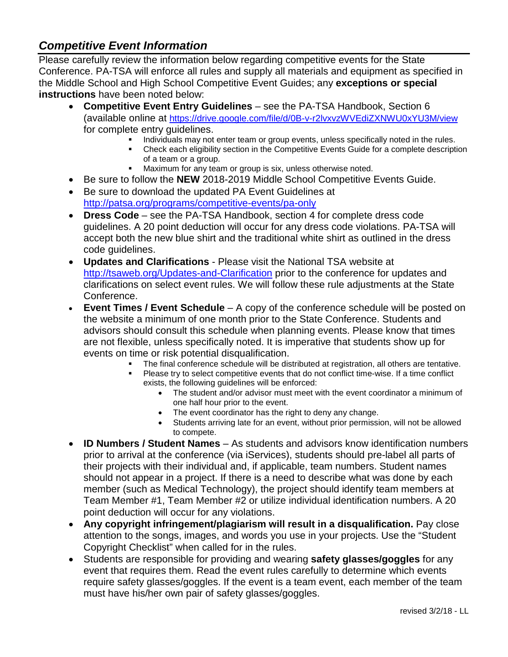## *Competitive Event Information*

Please carefully review the information below regarding competitive events for the State Conference. PA-TSA will enforce all rules and supply all materials and equipment as specified in the Middle School and High School Competitive Event Guides; any **exceptions or special instructions** have been noted below:

- **Competitive Event Entry Guidelines** see the PA-TSA Handbook, Section 6 (available online at<https://drive.google.com/file/d/0B-v-r2lvxvzWVEdiZXNWU0xYU3M/view> for complete entry guidelines.
	- Individuals may not enter team or group events, unless specifically noted in the rules.
	- Check each eligibility section in the Competitive Events Guide for a complete description of a team or a group.
	- **Maximum for any team or group is six, unless otherwise noted.**
- Be sure to follow the **NEW** 2018-2019 Middle School Competitive Events Guide.
- Be sure to download the updated PA Event Guidelines at <http://patsa.org/programs/competitive-events/pa-only>
- **Dress Code** see the PA-TSA Handbook, section 4 for complete dress code guidelines. A 20 point deduction will occur for any dress code violations. PA-TSA will accept both the new blue shirt and the traditional white shirt as outlined in the dress code guidelines.
- **Updates and Clarifications**  Please visit the National TSA website at <http://tsaweb.org/Updates-and-Clarification> prior to the conference for updates and clarifications on select event rules. We will follow these rule adjustments at the State Conference.
- **Event Times / Event Schedule**  A copy of the conference schedule will be posted on the website a minimum of one month prior to the State Conference. Students and advisors should consult this schedule when planning events. Please know that times are not flexible, unless specifically noted. It is imperative that students show up for events on time or risk potential disqualification.
	- The final conference schedule will be distributed at registration, all others are tentative.
	- Please try to select competitive events that do not conflict time-wise. If a time conflict exists, the following guidelines will be enforced:
		- The student and/or advisor must meet with the event coordinator a minimum of one half hour prior to the event.
		- The event coordinator has the right to deny any change.
		- Students arriving late for an event, without prior permission, will not be allowed to compete.
- **ID Numbers / Student Names**  As students and advisors know identification numbers prior to arrival at the conference (via iServices), students should pre-label all parts of their projects with their individual and, if applicable, team numbers. Student names should not appear in a project. If there is a need to describe what was done by each member (such as Medical Technology), the project should identify team members at Team Member #1, Team Member #2 or utilize individual identification numbers. A 20 point deduction will occur for any violations.
- **Any copyright infringement/plagiarism will result in a disqualification.** Pay close attention to the songs, images, and words you use in your projects. Use the "Student Copyright Checklist" when called for in the rules.
- Students are responsible for providing and wearing **safety glasses/goggles** for any event that requires them. Read the event rules carefully to determine which events require safety glasses/goggles. If the event is a team event, each member of the team must have his/her own pair of safety glasses/goggles.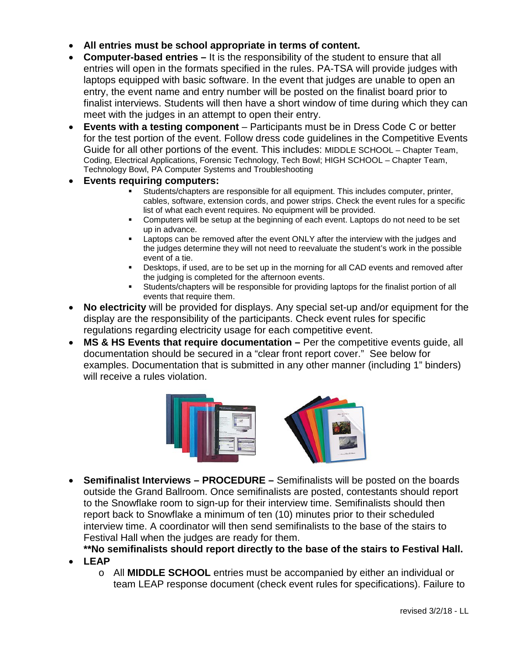- **All entries must be school appropriate in terms of content.**
- **Computer-based entries –** It is the responsibility of the student to ensure that all entries will open in the formats specified in the rules. PA-TSA will provide judges with laptops equipped with basic software. In the event that judges are unable to open an entry, the event name and entry number will be posted on the finalist board prior to finalist interviews. Students will then have a short window of time during which they can meet with the judges in an attempt to open their entry.
- **Events with a testing component** Participants must be in Dress Code C or better for the test portion of the event. Follow dress code guidelines in the Competitive Events Guide for all other portions of the event. This includes: MIDDLE SCHOOL – Chapter Team, Coding, Electrical Applications, Forensic Technology, Tech Bowl; HIGH SCHOOL – Chapter Team, Technology Bowl, PA Computer Systems and Troubleshooting
- **Events requiring computers:**
	- Students/chapters are responsible for all equipment. This includes computer, printer, cables, software, extension cords, and power strips. Check the event rules for a specific list of what each event requires. No equipment will be provided.
	- Computers will be setup at the beginning of each event. Laptops do not need to be set up in advance.
	- Laptops can be removed after the event ONLY after the interview with the judges and the judges determine they will not need to reevaluate the student's work in the possible event of a tie.
	- Desktops, if used, are to be set up in the morning for all CAD events and removed after the judging is completed for the afternoon events.
	- Students/chapters will be responsible for providing laptops for the finalist portion of all events that require them.
- **No electricity** will be provided for displays. Any special set-up and/or equipment for the display are the responsibility of the participants. Check event rules for specific regulations regarding electricity usage for each competitive event.
- **MS & HS Events that require documentation –** Per the competitive events guide, all documentation should be secured in a "clear front report cover." See below for examples. Documentation that is submitted in any other manner (including 1" binders) will receive a rules violation.



- **Semifinalist Interviews – PROCEDURE –** Semifinalists will be posted on the boards outside the Grand Ballroom. Once semifinalists are posted, contestants should report to the Snowflake room to sign-up for their interview time. Semifinalists should then report back to Snowflake a minimum of ten (10) minutes prior to their scheduled interview time. A coordinator will then send semifinalists to the base of the stairs to Festival Hall when the judges are ready for them.
	- **\*\*No semifinalists should report directly to the base of the stairs to Festival Hall.**
- **LEAP** 
	- o All **MIDDLE SCHOOL** entries must be accompanied by either an individual or team LEAP response document (check event rules for specifications). Failure to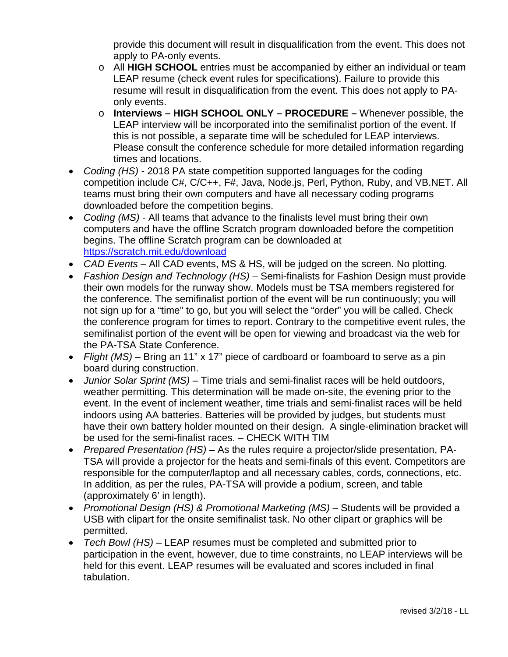provide this document will result in disqualification from the event. This does not apply to PA-only events.

- o All **HIGH SCHOOL** entries must be accompanied by either an individual or team LEAP resume (check event rules for specifications). Failure to provide this resume will result in disqualification from the event. This does not apply to PAonly events.
- o **Interviews – HIGH SCHOOL ONLY – PROCEDURE –** Whenever possible, the LEAP interview will be incorporated into the semifinalist portion of the event. If this is not possible, a separate time will be scheduled for LEAP interviews. Please consult the conference schedule for more detailed information regarding times and locations.
- *Coding (HS) -* 2018 PA state competition supported languages for the coding competition include C#, C/C++, F#, Java, Node.js, Perl, Python, Ruby, and VB.NET. All teams must bring their own computers and have all necessary coding programs downloaded before the competition begins.
- *Coding (MS) -* All teams that advance to the finalists level must bring their own computers and have the offline Scratch program downloaded before the competition begins. The offline Scratch program can be downloaded at <https://scratch.mit.edu/download>
- *CAD Events –* All CAD events, MS & HS, will be judged on the screen. No plotting.
- *Fashion Design and Technology (HS) –* Semi-finalists for Fashion Design must provide their own models for the runway show. Models must be TSA members registered for the conference. The semifinalist portion of the event will be run continuously; you will not sign up for a "time" to go, but you will select the "order" you will be called. Check the conference program for times to report. Contrary to the competitive event rules, the semifinalist portion of the event will be open for viewing and broadcast via the web for the PA-TSA State Conference.
- *Flight (MS) –* Bring an 11" x 17" piece of cardboard or foamboard to serve as a pin board during construction.
- *Junior Solar Sprint (MS) –* Time trials and semi-finalist races will be held outdoors, weather permitting. This determination will be made on-site, the evening prior to the event. In the event of inclement weather, time trials and semi-finalist races will be held indoors using AA batteries. Batteries will be provided by judges, but students must have their own battery holder mounted on their design. A single-elimination bracket will be used for the semi-finalist races. – CHECK WITH TIM
- *Prepared Presentation (HS) –* As the rules require a projector/slide presentation, PA-TSA will provide a projector for the heats and semi-finals of this event. Competitors are responsible for the computer/laptop and all necessary cables, cords, connections, etc. In addition, as per the rules, PA-TSA will provide a podium, screen, and table (approximately 6' in length).
- *Promotional Design (HS) & Promotional Marketing (MS) –* Students will be provided a USB with clipart for the onsite semifinalist task. No other clipart or graphics will be permitted.
- *Tech Bowl (HS) –* LEAP resumes must be completed and submitted prior to participation in the event, however, due to time constraints, no LEAP interviews will be held for this event. LEAP resumes will be evaluated and scores included in final tabulation.